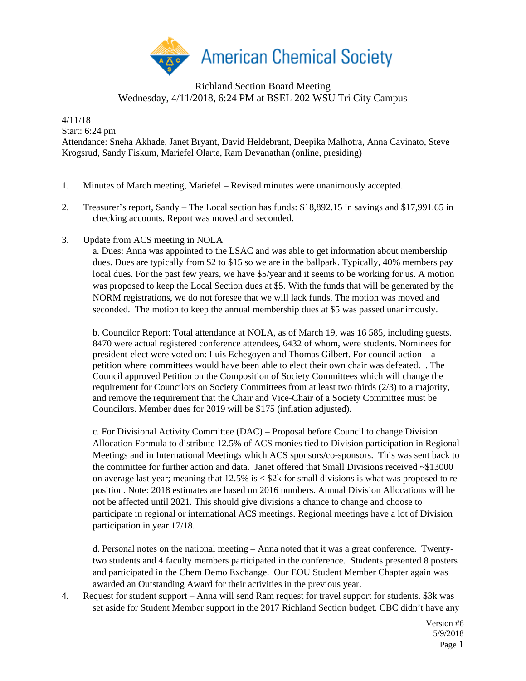

## Richland Section Board Meeting Wednesday, 4/11/2018, 6:24 PM at BSEL 202 WSU Tri City Campus

4/11/18

Start: 6:24 pm

Attendance: Sneha Akhade, Janet Bryant, David Heldebrant, Deepika Malhotra, Anna Cavinato, Steve Krogsrud, Sandy Fiskum, Mariefel Olarte, Ram Devanathan (online, presiding)

- 1. Minutes of March meeting, Mariefel Revised minutes were unanimously accepted.
- 2. Treasurer's report, Sandy The Local section has funds: \$18,892.15 in savings and \$17,991.65 in checking accounts. Report was moved and seconded.
- 3. Update from ACS meeting in NOLA

a. Dues: Anna was appointed to the LSAC and was able to get information about membership dues. Dues are typically from \$2 to \$15 so we are in the ballpark. Typically, 40% members pay local dues. For the past few years, we have \$5/year and it seems to be working for us. A motion was proposed to keep the Local Section dues at \$5. With the funds that will be generated by the NORM registrations, we do not foresee that we will lack funds. The motion was moved and seconded. The motion to keep the annual membership dues at \$5 was passed unanimously.

b. Councilor Report: Total attendance at NOLA, as of March 19, was 16 585, including guests. 8470 were actual registered conference attendees, 6432 of whom, were students. Nominees for president-elect were voted on: Luis Echegoyen and Thomas Gilbert. For council action – a petition where committees would have been able to elect their own chair was defeated. . The Council approved Petition on the Composition of Society Committees which will change the requirement for Councilors on Society Committees from at least two thirds (2/3) to a majority, and remove the requirement that the Chair and Vice-Chair of a Society Committee must be Councilors. Member dues for 2019 will be \$175 (inflation adjusted).

c. For Divisional Activity Committee (DAC) – Proposal before Council to change Division Allocation Formula to distribute 12.5% of ACS monies tied to Division participation in Regional Meetings and in International Meetings which ACS sponsors/co-sponsors. This was sent back to the committee for further action and data. Janet offered that Small Divisions received ~\$13000 on average last year; meaning that  $12.5\%$  is  $\lt$  \$2k for small divisions is what was proposed to reposition. Note: 2018 estimates are based on 2016 numbers. Annual Division Allocations will be not be affected until 2021. This should give divisions a chance to change and choose to participate in regional or international ACS meetings. Regional meetings have a lot of Division participation in year 17/18.

d. Personal notes on the national meeting – Anna noted that it was a great conference. Twentytwo students and 4 faculty members participated in the conference. Students presented 8 posters and participated in the Chem Demo Exchange. Our EOU Student Member Chapter again was awarded an Outstanding Award for their activities in the previous year.

4. Request for student support – Anna will send Ram request for travel support for students. \$3k was set aside for Student Member support in the 2017 Richland Section budget. CBC didn't have any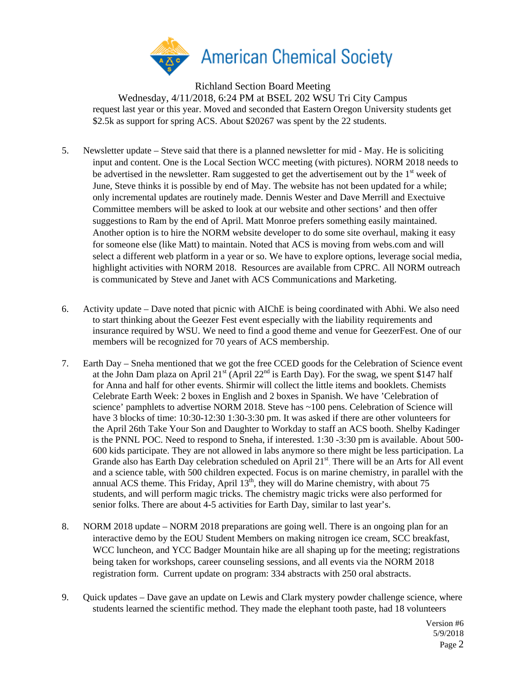

Richland Section Board Meeting Wednesday, 4/11/2018, 6:24 PM at BSEL 202 WSU Tri City Campus request last year or this year. Moved and seconded that Eastern Oregon University students get \$2.5k as support for spring ACS. About \$20267 was spent by the 22 students.

- 5. Newsletter update Steve said that there is a planned newsletter for mid May. He is soliciting input and content. One is the Local Section WCC meeting (with pictures). NORM 2018 needs to be advertised in the newsletter. Ram suggested to get the advertisement out by the  $1<sup>st</sup>$  week of June, Steve thinks it is possible by end of May. The website has not been updated for a while; only incremental updates are routinely made. Dennis Wester and Dave Merrill and Exectuive Committee members will be asked to look at our website and other sections' and then offer suggestions to Ram by the end of April. Matt Monroe prefers something easily maintained. Another option is to hire the NORM website developer to do some site overhaul, making it easy for someone else (like Matt) to maintain. Noted that ACS is moving from webs.com and will select a different web platform in a year or so. We have to explore options, leverage social media, highlight activities with NORM 2018. Resources are available from CPRC. All NORM outreach is communicated by Steve and Janet with ACS Communications and Marketing.
- 6. Activity update Dave noted that picnic with AIChE is being coordinated with Abhi. We also need to start thinking about the Geezer Fest event especially with the liability requirements and insurance required by WSU. We need to find a good theme and venue for GeezerFest. One of our members will be recognized for 70 years of ACS membership.
- 7. Earth Day Sneha mentioned that we got the free CCED goods for the Celebration of Science event at the John Dam plaza on April  $21^{st}$  (April  $22^{nd}$  is Earth Day). For the swag, we spent \$147 half for Anna and half for other events. Shirmir will collect the little items and booklets. Chemists Celebrate Earth Week: 2 boxes in English and 2 boxes in Spanish. We have 'Celebration of science' pamphlets to advertise NORM 2018. Steve has ~100 pens. Celebration of Science will have 3 blocks of time: 10:30-12:30 1:30-3:30 pm. It was asked if there are other volunteers for the April 26th Take Your Son and Daughter to Workday to staff an ACS booth. Shelby Kadinger is the PNNL POC. Need to respond to Sneha, if interested. 1:30 -3:30 pm is available. About 500- 600 kids participate. They are not allowed in labs anymore so there might be less participation. La Grande also has Earth Day celebration scheduled on April 21<sup>st</sup>. There will be an Arts for All event and a science table, with 500 children expected. Focus is on marine chemistry, in parallel with the annual ACS theme. This Friday, April  $13<sup>th</sup>$ , they will do Marine chemistry, with about 75 students, and will perform magic tricks. The chemistry magic tricks were also performed for senior folks. There are about 4-5 activities for Earth Day, similar to last year's.
- 8. NORM 2018 update NORM 2018 preparations are going well. There is an ongoing plan for an interactive demo by the EOU Student Members on making nitrogen ice cream, SCC breakfast, WCC luncheon, and YCC Badger Mountain hike are all shaping up for the meeting; registrations being taken for workshops, career counseling sessions, and all events via the NORM 2018 registration form. Current update on program: 334 abstracts with 250 oral abstracts.
- 9. Quick updates Dave gave an update on Lewis and Clark mystery powder challenge science, where students learned the scientific method. They made the elephant tooth paste, had 18 volunteers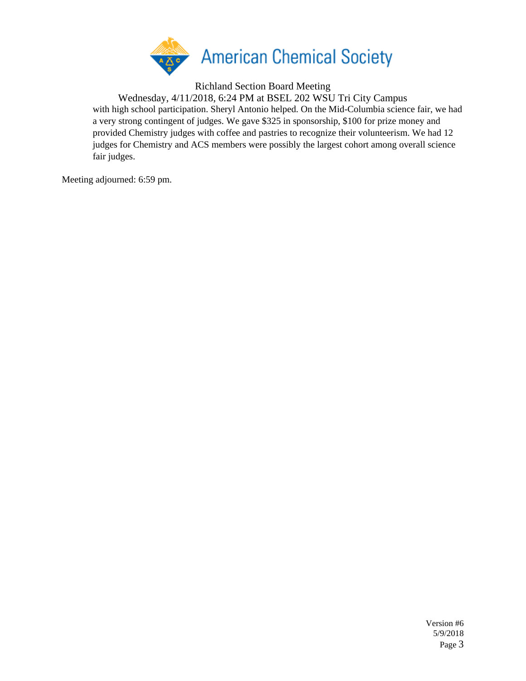

Richland Section Board Meeting

Wednesday, 4/11/2018, 6:24 PM at BSEL 202 WSU Tri City Campus with high school participation. Sheryl Antonio helped. On the Mid-Columbia science fair, we had a very strong contingent of judges. We gave \$325 in sponsorship, \$100 for prize money and provided Chemistry judges with coffee and pastries to recognize their volunteerism. We had 12 judges for Chemistry and ACS members were possibly the largest cohort among overall science fair judges.

Meeting adjourned: 6:59 pm.